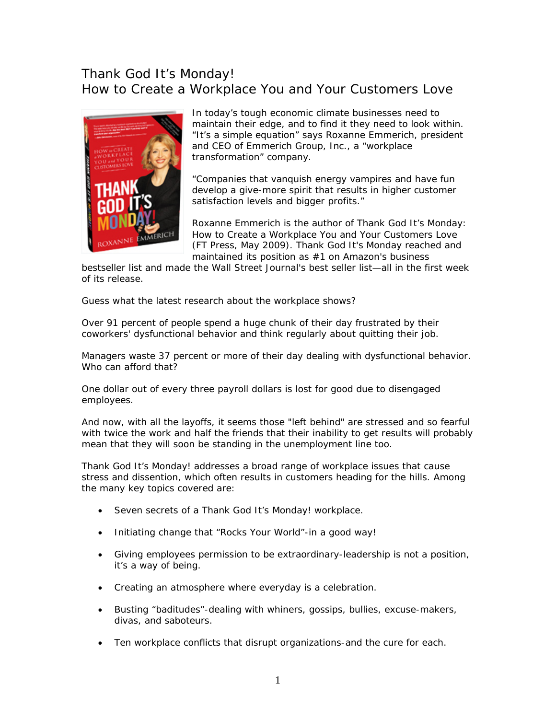## Thank God It's Monday! How to Create a Workplace You and Your Customers Love



In today's tough economic climate businesses need to maintain their edge, and to find it they need to look within. "It's a simple equation" says Roxanne Emmerich, president and CEO of Emmerich Group, Inc., a "workplace transformation" company.

"Companies that vanquish energy vampires and have fun develop a give-more spirit that results in higher customer satisfaction levels and bigger profits."

Roxanne Emmerich is the author of Thank God It's Monday: How to Create a Workplace You and Your Customers Love (FT Press, May 2009). Thank God It's Monday reached and maintained its position as #1 on Amazon's business

bestseller list and made the Wall Street Journal's best seller list—all in the first week of its release.

Guess what the latest research about the workplace shows?

Over 91 percent of people spend a huge chunk of their day frustrated by their coworkers' dysfunctional behavior and think regularly about quitting their job.

Managers waste 37 percent or more of their day dealing with dysfunctional behavior. Who can afford that?

One dollar out of every three payroll dollars is lost for good due to disengaged employees.

And now, with all the layoffs, it seems those "left behind" are stressed and so fearful with twice the work and half the friends that their inability to get results will probably mean that they will soon be standing in the unemployment line too.

*Thank God It's Monday!* addresses a broad range of workplace issues that cause stress and dissention, which often results in customers heading for the hills. Among the many key topics covered are:

- Seven secrets of a *Thank God It's Monday!* workplace.
- Initiating change that "Rocks Your World"-in a good way!
- Giving employees permission to be extraordinary-leadership is not a position, it's a way of being.
- Creating an atmosphere where everyday is a celebration.
- Busting "baditudes"-dealing with whiners, gossips, bullies, excuse-makers, divas, and saboteurs.
- Ten workplace conflicts that disrupt organizations-and the cure for each.